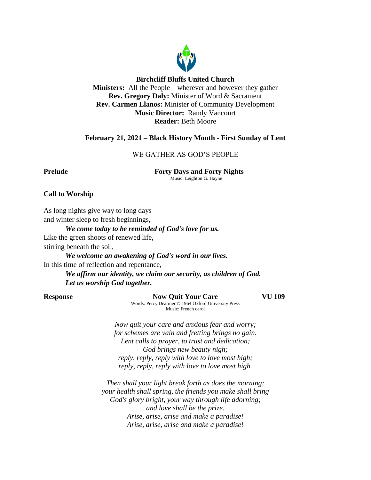

## **Birchcliff Bluffs United Church**

**Ministers:** All the People – wherever and however they gather **Rev. Gregory Daly:** Minister of Word & Sacrament **Rev. Carmen Llanos:** Minister of Community Development **Music Director:** Randy Vancourt **Reader:** Beth Moore

# **February 21, 2021 – Black History Month - First Sunday of Lent**

# WE GATHER AS GOD'S PEOPLE

**Prelude Forty Days and Forty Nights** Music: Leighton G. Hayne

# **Call to Worship**

As long nights give way to long days and winter sleep to fresh beginnings,

*We come today to be reminded of God's love for us.* Like the green shoots of renewed life,

stirring beneath the soil,

*We welcome an awakening of God's word in our lives.* In this time of reflection and repentance,

*We affirm our identity, we claim our security, as children of God. Let us worship God together.*

**Response Now Quit Your Care VU 109** Words: Percy Dearmer © 1964 Oxford University Press Music: French carol

*Now quit your care and anxious fear and worry; for schemes are vain and fretting brings no gain. Lent calls to prayer, to trust and dedication; God brings new beauty nigh; reply, reply, reply with love to love most high; reply, reply, reply with love to love most high.*

*Then shall your light break forth as does the morning; your health shall spring, the friends you make shall bring God's glory bright, your way through life adorning; and love shall be the prize. Arise, arise, arise and make a paradise! Arise, arise, arise and make a paradise!*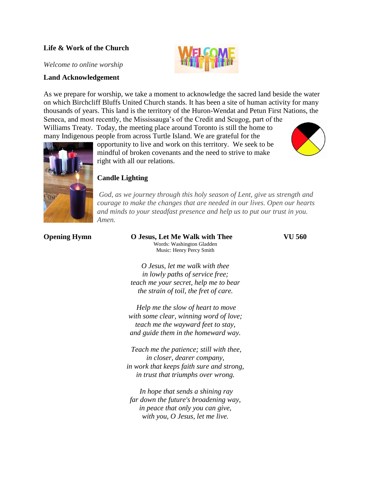# **Life & Work of the Church**

*Welcome to online worship*

## **Land Acknowledgement**

As we prepare for worship, we take a moment to acknowledge the sacred land beside the water on which Birchcliff Bluffs United Church stands. It has been a site of human activity for many thousands of years. This land is the territory of the Huron-Wendat and Petun First Nations, the Seneca, and most recently, the Mississauga's of the Credit and Scugog, part of the

Williams Treaty. Today, the meeting place around Toronto is still the home to many Indigenous people from across Turtle Island. We are grateful for the

opportunity to live and work on this territory. We seek to be mindful of broken covenants and the need to strive to make right with all our relations.



*God, as we journey through this holy season of Lent, give us strength and courage to make the changes that are needed in our lives. Open our hearts and minds to your steadfast presence and help us to put our trust in you. Amen.*

 $\mathbb{D}$ 

**Opening Hymn O Jesus, Let Me Walk with Thee VU 560** Words: Washington Gladden Music: Henry Percy Smith

*O Jesus, let me walk with thee in lowly paths of service free; teach me your secret, help me to bear the strain of toil, the fret of care.*

*Help me the slow of heart to move with some clear, winning word of love; teach me the wayward feet to stay, and guide them in the homeward way.*

*Teach me the patience; still with thee, in closer, dearer company, in work that keeps faith sure and strong, in trust that triumphs over wrong.*

*In hope that sends a shining ray far down the future's broadening way, in peace that only you can give, with you, O Jesus, let me live.*



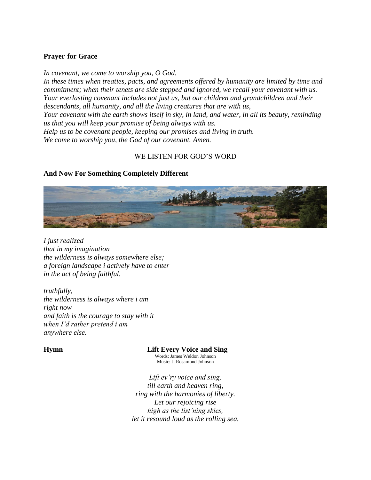## **Prayer for Grace**

*In covenant, we come to worship you, O God. In these times when treaties, pacts, and agreements offered by humanity are limited by time and commitment; when their tenets are side stepped and ignored, we recall your covenant with us. Your everlasting covenant includes not just us, but our children and grandchildren and their descendants, all humanity, and all the living creatures that are with us, Your covenant with the earth shows itself in sky, in land, and water, in all its beauty, reminding us that you will keep your promise of being always with us. Help us to be covenant people, keeping our promises and living in truth. We come to worship you, the God of our covenant. Amen.*

# WE LISTEN FOR GOD'S WORD

# **And Now For Something Completely Different**



*I just realized that in my imagination the wilderness is always somewhere else; a foreign landscape i actively have to enter in the act of being faithful.*

*truthfully, the wilderness is always where i am right now and faith is the courage to stay with it when I'd rather pretend i am anywhere else.*

**Hymn Lift Every Voice and Sing**

Words: James Weldon Johnson Music: J. Rosamond Johnson

*Lift ev'ry voice and sing, till earth and heaven ring, ring with the harmonies of liberty. Let our rejoicing rise high as the list'ning skies, let it resound loud as the rolling sea.*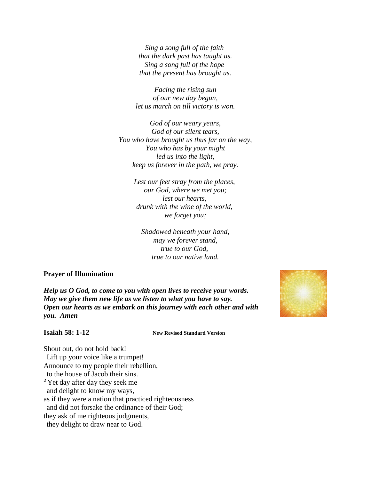*Sing a song full of the faith that the dark past has taught us. Sing a song full of the hope that the present has brought us.*

*Facing the rising sun of our new day begun, let us march on till victory is won.*

*God of our weary years, God of our silent tears, You who have brought us thus far on the way, You who has by your might led us into the light, keep us forever in the path, we pray.*

> *Lest our feet stray from the places, our God, where we met you; lest our hearts, drunk with the wine of the world, we forget you;*

*Shadowed beneath your hand, may we forever stand, true to our God, true to our native land.*

## **Prayer of Illumination**

*Help us O God, to come to you with open lives to receive your words. May we give them new life as we listen to what you have to say. Open our hearts as we embark on this journey with each other and with you. Amen*

**Isaiah 58: 1-12 New Revised Standard Version**

Shout out, do not hold back! Lift up your voice like a trumpet! Announce to my people their rebellion, to the house of Jacob their sins. **<sup>2</sup>** Yet day after day they seek me and delight to know my ways, as if they were a nation that practiced righteousness and did not forsake the ordinance of their God; they ask of me righteous judgments, they delight to draw near to God.

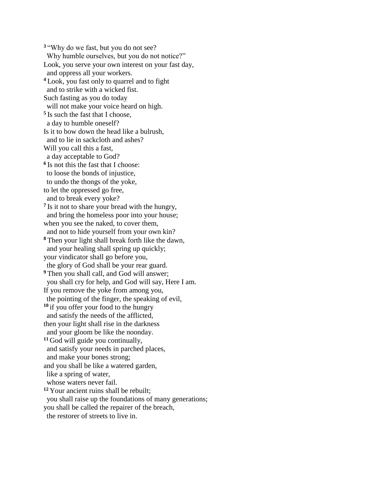**<sup>3</sup>** "Why do we fast, but you do not see? Why humble ourselves, but you do not notice?" Look, you serve your own interest on your fast day, and oppress all your workers. **<sup>4</sup>** Look, you fast only to quarrel and to fight and to strike with a wicked fist. Such fasting as you do today will not make your voice heard on high. **5** Is such the fast that I choose, a day to humble oneself? Is it to bow down the head like a bulrush, and to lie in sackcloth and ashes? Will you call this a fast, a day acceptable to God? **6** Is not this the fast that I choose: to loose the bonds of injustice, to undo the thongs of the yoke, to let the oppressed go free, and to break every yoke? <sup>7</sup> Is it not to share your bread with the hungry, and bring the homeless poor into your house; when you see the naked, to cover them, and not to hide yourself from your own kin? **<sup>8</sup>** Then your light shall break forth like the dawn, and your healing shall spring up quickly; your vindicator shall go before you, the glory of God shall be your rear guard. <sup>9</sup> Then you shall call, and God will answer; you shall cry for help, and God will say, Here I am. If you remove the yoke from among you, the pointing of the finger, the speaking of evil, **<sup>10</sup>** if you offer your food to the hungry and satisfy the needs of the afflicted, then your light shall rise in the darkness and your gloom be like the noonday. **<sup>11</sup>** God will guide you continually, and satisfy your needs in parched places, and make your bones strong; and you shall be like a watered garden, like a spring of water, whose waters never fail. **<sup>12</sup>** Your ancient ruins shall be rebuilt; you shall raise up the foundations of many generations; you shall be called the repairer of the breach, the restorer of streets to live in.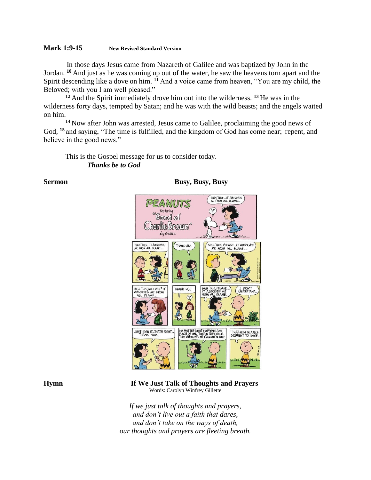## **Mark 1:9-15 New Revised Standard Version**

In those days Jesus came from Nazareth of Galilee and was baptized by John in the Jordan. **<sup>10</sup>** And just as he was coming up out of the water, he saw the heavens torn apart and the Spirit descending like a dove on him. **<sup>11</sup>** And a voice came from heaven, "You are my child, the Beloved; with you I am well pleased."

**<sup>12</sup>** And the Spirit immediately drove him out into the wilderness. **<sup>13</sup>** He was in the wilderness forty days, tempted by Satan; and he was with the wild beasts; and the angels waited on him.

**<sup>14</sup>** Now after John was arrested, Jesus came to Galilee, proclaiming the good news of God, **<sup>15</sup>** and saying, "The time is fulfilled, and the kingdom of God has come near; repent, and believe in the good news."

This is the Gospel message for us to consider today. *Thanks be to God*

**Sermon Busy, Busy, Busy, Busy** 



## **Hymn If We Just Talk of Thoughts and Prayers** Words: Carolyn Winfrey Gillette

*If we just talk of thoughts and prayers, and don't live out a faith that dares, and don't take on the ways of death, our thoughts and prayers are fleeting breath.*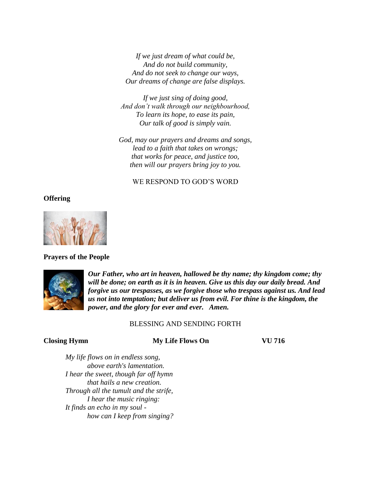*If we just dream of what could be, And do not build community, And do not seek to change our ways, Our dreams of change are false displays.*

*If we just sing of doing good, And don't walk through our neighbourhood, To learn its hope, to ease its pain, Our talk of good is simply vain.*

*God, may our prayers and dreams and songs, lead to a faith that takes on wrongs; that works for peace, and justice too, then will our prayers bring joy to you.*

# WE RESPOND TO GOD'S WORD

## **Offering**



## **Prayers of the People**



*Our Father, who art in heaven, hallowed be thy name; thy kingdom come; thy will be done; on earth as it is in heaven. Give us this day our daily bread. And forgive us our trespasses, as we forgive those who trespass against us. And lead us not into temptation; but deliver us from evil. For thine is the kingdom, the power, and the glory for ever and ever. Amen.*

## BLESSING AND SENDING FORTH

## **Closing Hymn My Life Flows On VU 716**

*My life flows on in endless song, above earth's lamentation. I hear the sweet, though far off hymn that hails a new creation. Through all the tumult and the strife, I hear the music ringing: It finds an echo in my soul how can I keep from singing?*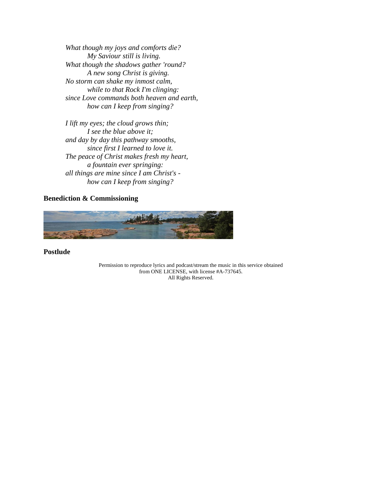*What though my joys and comforts die? My Saviour still is living. What though the shadows gather 'round? A new song Christ is giving. No storm can shake my inmost calm, while to that Rock I'm clinging: since Love commands both heaven and earth, how can I keep from singing?*

*I lift my eyes; the cloud grows thin; I see the blue above it; and day by day this pathway smooths, since first I learned to love it. The peace of Christ makes fresh my heart, a fountain ever springing: all things are mine since I am Christ's how can I keep from singing?*

## **Benediction & Commissioning**



**Postlude**

Permission to reproduce lyrics and podcast/stream the music in this service obtained from ONE LICENSE, with license #A-737645. All Rights Reserved.